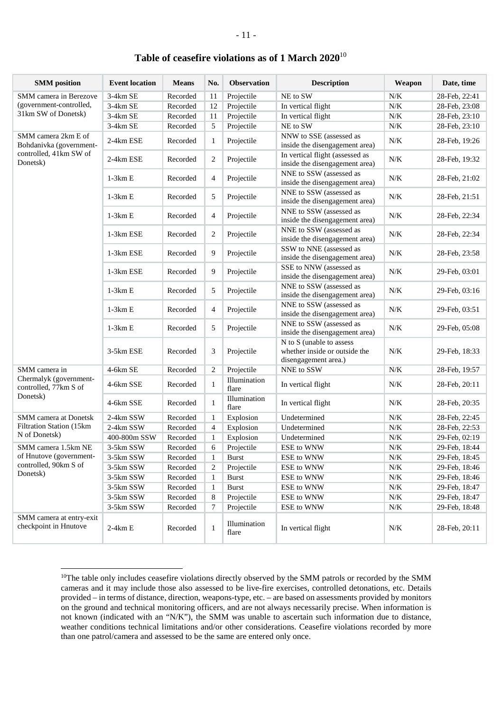## **Table of ceasefire violations as of 1 March 2020**<sup>10</sup>

| <b>SMM</b> position                                          | <b>Event location</b> | <b>Means</b> | No.            | <b>Observation</b>    | <b>Description</b>                                                                | Weapon    | Date, time    |
|--------------------------------------------------------------|-----------------------|--------------|----------------|-----------------------|-----------------------------------------------------------------------------------|-----------|---------------|
| SMM camera in Berezove                                       | $3-4km$ SE            | Recorded     | 11             | Projectile            | NE to SW                                                                          | N/K       | 28-Feb, 22:41 |
| (government-controlled,                                      | 3-4km SE              | Recorded     | 12             | Projectile            | In vertical flight                                                                | $N/K$     | 28-Feb, 23:08 |
| 31km SW of Donetsk)                                          | 3-4km SE              | Recorded     | 11             | Projectile            | In vertical flight                                                                | N/K       | 28-Feb, 23:10 |
|                                                              | 3-4km SE              | Recorded     | 5              | Projectile            | NE to SW                                                                          | $N/K$     | 28-Feb, 23:10 |
| SMM camera 2km E of<br>Bohdanivka (government-               | 2-4km ESE             | Recorded     | 1              | Projectile            | NNW to SSE (assessed as<br>inside the disengagement area)                         | N/K       | 28-Feb, 19:26 |
| controlled, 41km SW of<br>Donetsk)                           | 2-4km ESE             | Recorded     | 2              | Projectile            | In vertical flight (assessed as<br>inside the disengagement area)                 | N/K       | 28-Feb, 19:32 |
|                                                              | $1-3km E$             | Recorded     | $\overline{4}$ | Projectile            | NNE to SSW (assessed as<br>inside the disengagement area)                         | $N/K$     | 28-Feb, 21:02 |
|                                                              | $1-3km E$             | Recorded     | 5              | Projectile            | NNE to SSW (assessed as<br>inside the disengagement area)                         | N/K       | 28-Feb, 21:51 |
|                                                              | $1-3km E$             | Recorded     | $\overline{4}$ | Projectile            | NNE to SSW (assessed as<br>inside the disengagement area)                         | N/K       | 28-Feb, 22:34 |
|                                                              | 1-3km ESE             | Recorded     | 2              | Projectile            | NNE to SSW (assessed as<br>inside the disengagement area)                         | N/K       | 28-Feb, 22:34 |
|                                                              | 1-3km ESE             | Recorded     | 9              | Projectile            | SSW to NNE (assessed as<br>inside the disengagement area)                         | N/K       | 28-Feb, 23:58 |
|                                                              | 1-3km ESE             | Recorded     | 9              | Projectile            | SSE to NNW (assessed as<br>inside the disengagement area)                         | N/K       | 29-Feb, 03:01 |
|                                                              | $1-3km E$             | Recorded     | 5              | Projectile            | NNE to SSW (assessed as<br>inside the disengagement area)                         | $N\!/\!K$ | 29-Feb, 03:16 |
|                                                              | $1-3km E$             | Recorded     | $\overline{4}$ | Projectile            | NNE to SSW (assessed as<br>inside the disengagement area)                         | $N/K$     | 29-Feb, 03:51 |
|                                                              | $1-3km E$             | Recorded     | 5              | Projectile            | NNE to SSW (assessed as<br>inside the disengagement area)                         | N/K       | 29-Feb, 05:08 |
|                                                              | 3-5km ESE             | Recorded     | 3              | Projectile            | N to S (unable to assess<br>whether inside or outside the<br>disengagement area.) | N/K       | 29-Feb, 18:33 |
| SMM camera in                                                | $4-6km$ SE            | Recorded     | 2              | Projectile            | NNE to SSW                                                                        | $N/K$     | 28-Feb, 19:57 |
| Chermalyk (government-<br>controlled, 77km S of              | 4-6km SSE             | Recorded     | $\mathbf{1}$   | Illumination<br>flare | In vertical flight                                                                | $N\!/\!K$ | 28-Feb, 20:11 |
| Donetsk)                                                     | 4-6km SSE             | Recorded     | $\mathbf{1}$   | Illumination<br>flare | In vertical flight                                                                | N/K       | 28-Feb, 20:35 |
| SMM camera at Donetsk                                        | 2-4km SSW             | Recorded     | 1              | Explosion             | Undetermined                                                                      | $N\!/\!K$ | 28-Feb, 22:45 |
| Filtration Station (15km                                     | 2-4km SSW             | Recorded     | $\overline{4}$ | Explosion             | Undetermined                                                                      | $N\!/\!K$ | 28-Feb, 22:53 |
| N of Donetsk)                                                | 400-800m SSW          | Recorded     | $\mathbf{1}$   | Explosion             | Undetermined                                                                      | $N\!/\!K$ | 29-Feb, 02:19 |
| SMM camera 1.5km NE                                          | 3-5km SSW             | Recorded     | 6              | Projectile            | <b>ESE</b> to WNW                                                                 | $N\!/\!K$ | 29-Feb, 18:44 |
| of Hnutove (government-<br>controlled, 90km S of<br>Donetsk) | 3-5km SSW             | Recorded     | $\mathbf{1}$   | <b>Burst</b>          | ESE to WNW                                                                        | $N/K$     | 29-Feb, 18:45 |
|                                                              | 3-5km SSW             | Recorded     | 2              | Projectile            | ESE to WNW                                                                        | $N\!/\!K$ | 29-Feb, 18:46 |
|                                                              | 3-5km SSW             | Recorded     | 1              | <b>Burst</b>          | ESE to WNW                                                                        | $N\!/\!K$ | 29-Feb, 18:46 |
|                                                              | 3-5km SSW             | Recorded     | $\mathbf{1}$   | <b>Burst</b>          | ESE to WNW                                                                        | $N\!/\!K$ | 29-Feb, 18:47 |
|                                                              | 3-5km SSW             | Recorded     | 8              | Projectile            | ESE to WNW                                                                        | $N\!/\!K$ | 29-Feb, 18:47 |
|                                                              | 3-5km SSW             | Recorded     | 7              | Projectile            | ESE to WNW                                                                        | $N\!/\!K$ | 29-Feb, 18:48 |
| SMM camera at entry-exit<br>checkpoint in Hnutove            | $2-4km E$             | Recorded     | 1              | Illumination<br>flare | In vertical flight                                                                | $N\!/\!K$ | 28-Feb, 20:11 |

<sup>&</sup>lt;sup>10</sup>The table only includes ceasefire violations directly observed by the SMM patrols or recorded by the SMM cameras and it may include those also assessed to be live-fire exercises, controlled detonations, etc. Details provided – in terms of distance, direction, weapons-type, etc. – are based on assessments provided by monitors on the ground and technical monitoring officers, and are not always necessarily precise. When information is not known (indicated with an "N/K"), the SMM was unable to ascertain such information due to distance, weather conditions technical limitations and/or other considerations. Ceasefire violations recorded by more than one patrol/camera and assessed to be the same are entered only once.

 $\overline{a}$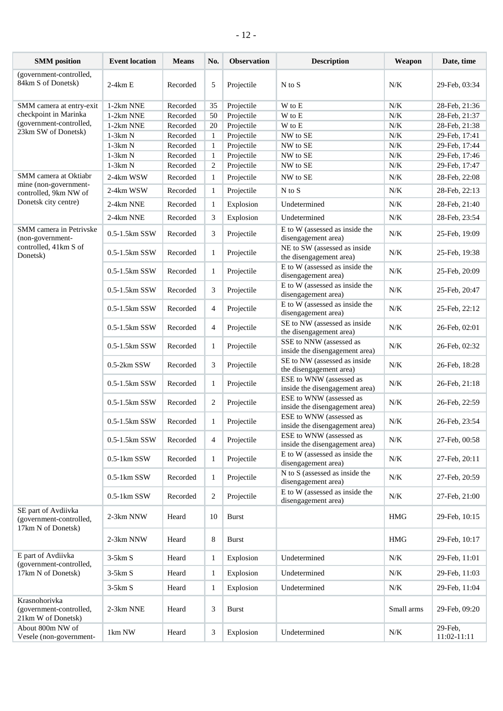| <b>SMM</b> position                                            | <b>Event location</b> | <b>Means</b> | No.            | <b>Observation</b> | <b>Description</b>                                        | Weapon     | Date, time                |
|----------------------------------------------------------------|-----------------------|--------------|----------------|--------------------|-----------------------------------------------------------|------------|---------------------------|
| (government-controlled,<br>84km S of Donetsk)                  | $2-4km E$             | Recorded     | 5              | Projectile         | $N$ to $S$                                                | $N/K$      | 29-Feb, 03:34             |
| SMM camera at entry-exit                                       | 1-2km NNE             | Recorded     | 35             | Projectile         | W to E                                                    | $N/K$      | 28-Feb, 21:36             |
| checkpoint in Marinka                                          | 1-2km NNE             | Recorded     | 50             | Projectile         | W to E                                                    | $N\!/\!K$  | 28-Feb, 21:37             |
| (government-controlled,                                        | 1-2km NNE             | Recorded     | 20             | Projectile         | W to E                                                    | $N\!/\!K$  | 28-Feb, 21:38             |
| 23km SW of Donetsk)                                            | $1-3km N$             | Recorded     | 1              | Projectile         | NW to SE                                                  | $N\!/\!K$  | 29-Feb, 17:41             |
|                                                                | $1-3km N$             | Recorded     | 1              | Projectile         | NW to SE                                                  | $N/K$      | 29-Feb, 17:44             |
|                                                                | $1-3km N$             | Recorded     | 1              | Projectile         | NW to SE                                                  | $N/K$      | 29-Feb, 17:46             |
|                                                                | $1-3km N$             | Recorded     | 2              | Projectile         | NW to SE                                                  | $N/K$      | 29-Feb, 17:47             |
| SMM camera at Oktiabr                                          | 2-4km WSW             | Recorded     | $\mathbf{1}$   | Projectile         | NW to SE                                                  | N/K        | 28-Feb, 22:08             |
| mine (non-government-<br>controlled, 9km NW of                 | 2-4km WSW             | Recorded     | 1              | Projectile         | $N$ to $S$                                                | $N/K$      | 28-Feb, 22:13             |
| Donetsk city centre)                                           | 2-4km NNE             | Recorded     | $\mathbf{1}$   | Explosion          | Undetermined                                              | N/K        | 28-Feb, 21:40             |
|                                                                | 2-4km NNE             | Recorded     | 3              | Explosion          | Undetermined                                              | N/K        | 28-Feb, 23:54             |
| SMM camera in Petrivske<br>(non-government-                    | $0.5-1.5km$ SSW       | Recorded     | 3              | Projectile         | E to W (assessed as inside the<br>disengagement area)     | N/K        | 25-Feb, 19:09             |
| controlled, 41km S of<br>Donetsk)                              | 0.5-1.5km SSW         | Recorded     | 1              | Projectile         | NE to SW (assessed as inside<br>the disengagement area)   | N/K        | 25-Feb, 19:38             |
|                                                                | 0.5-1.5km SSW         | Recorded     | 1              | Projectile         | E to W (assessed as inside the<br>disengagement area)     | N/K        | 25-Feb, 20:09             |
|                                                                | 0.5-1.5km SSW         | Recorded     | 3              | Projectile         | E to W (assessed as inside the<br>disengagement area)     | N/K        | 25-Feb, 20:47             |
|                                                                | 0.5-1.5km SSW         | Recorded     | 4              | Projectile         | E to W (assessed as inside the<br>disengagement area)     | N/K        | 25-Feb, 22:12             |
|                                                                | 0.5-1.5km SSW         | Recorded     | $\overline{4}$ | Projectile         | SE to NW (assessed as inside<br>the disengagement area)   | N/K        | 26-Feb, 02:01             |
|                                                                | 0.5-1.5km SSW         | Recorded     | 1              | Projectile         | SSE to NNW (assessed as<br>inside the disengagement area) | $N\!/\!K$  | 26-Feb, 02:32             |
|                                                                | $0.5-2km$ SSW         | Recorded     | 3              | Projectile         | SE to NW (assessed as inside<br>the disengagement area)   | N/K        | 26-Feb, 18:28             |
|                                                                | $0.5-1.5km$ SSW       | Recorded     | 1              | Projectile         | ESE to WNW (assessed as<br>inside the disengagement area) | N/K        | 26-Feb, 21:18             |
|                                                                | 0.5-1.5km SSW         | Recorded     | 2              | Projectile         | ESE to WNW (assessed as<br>inside the disengagement area) | $N\!/\!K$  | 26-Feb, 22:59             |
|                                                                | 0.5-1.5km SSW         | Recorded     | 1              | Projectile         | ESE to WNW (assessed as<br>inside the disengagement area) | $N/K$      | 26-Feb, 23:54             |
|                                                                | 0.5-1.5km SSW         | Recorded     | $\overline{4}$ | Projectile         | ESE to WNW (assessed as<br>inside the disengagement area) | $N\!/\!K$  | 27-Feb, 00:58             |
|                                                                | $0.5-1$ km SSW        | Recorded     | 1              | Projectile         | E to W (assessed as inside the<br>disengagement area)     | N/K        | 27-Feb, 20:11             |
|                                                                | $0.5-1km$ SSW         | Recorded     | 1              | Projectile         | N to S (assessed as inside the<br>disengagement area)     | N/K        | 27-Feb, 20:59             |
|                                                                | $0.5-1km$ SSW         | Recorded     | 2              | Projectile         | E to W (assessed as inside the<br>disengagement area)     | $N\!/\!K$  | 27-Feb, 21:00             |
| SE part of Avdiivka<br>(government-controlled,                 | 2-3km NNW             | Heard        | 10             | <b>Burst</b>       |                                                           | <b>HMG</b> | 29-Feb, 10:15             |
| 17km N of Donetsk)                                             | 2-3km NNW             | Heard        | 8              | <b>Burst</b>       |                                                           | <b>HMG</b> | 29-Feb, 10:17             |
| E part of Avdiivka<br>(government-controlled,                  | $3-5km S$             | Heard        | 1              | Explosion          | Undetermined                                              | N/K        | 29-Feb, 11:01             |
| 17km N of Donetsk)                                             | $3-5km S$             | Heard        | 1              | Explosion          | Undetermined                                              | N/K        | 29-Feb, 11:03             |
|                                                                | $3-5km S$             | Heard        | 1              | Explosion          | Undetermined                                              | N/K        | 29-Feb, 11:04             |
| Krasnohorivka<br>(government-controlled,<br>21km W of Donetsk) | 2-3km NNE             | Heard        | 3              | <b>Burst</b>       |                                                           | Small arms | 29-Feb, 09:20             |
| About 800m NW of<br>Vesele (non-government-                    | 1km NW                | Heard        | 3              | Explosion          | Undetermined                                              | N/K        | $29$ -Feb.<br>11:02-11:11 |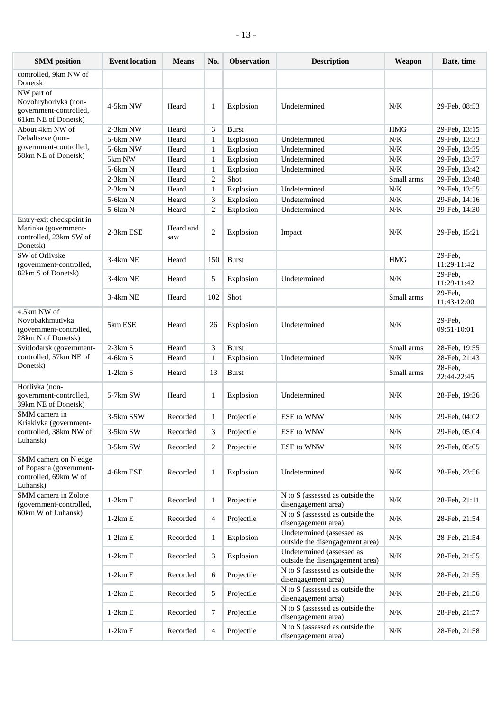| <b>SMM</b> position                                                                    | <b>Event location</b> | <b>Means</b>     | No.            | <b>Observation</b> | <b>Description</b>                                           | Weapon     | Date, time             |
|----------------------------------------------------------------------------------------|-----------------------|------------------|----------------|--------------------|--------------------------------------------------------------|------------|------------------------|
| controlled, 9km NW of<br>Donetsk                                                       |                       |                  |                |                    |                                                              |            |                        |
| NW part of<br>Novohryhorivka (non-<br>government-controlled,<br>61km NE of Donetsk)    | 4-5km NW              | Heard            | 1              | Explosion          | Undetermined                                                 | N/K        | 29-Feb, 08:53          |
| About 4km NW of                                                                        | 2-3km NW              | Heard            | 3              | <b>Burst</b>       |                                                              | <b>HMG</b> | 29-Feb, 13:15          |
| Debaltseve (non-                                                                       | 5-6km NW              | Heard            | 1              | Explosion          | Undetermined                                                 | N/K        | 29-Feb, 13:33          |
| government-controlled,                                                                 | 5-6km NW              | Heard            | 1              | Explosion          | Undetermined                                                 | N/K        | 29-Feb, 13:35          |
| 58km NE of Donetsk)                                                                    | 5km NW                | Heard            | 1              | Explosion          | Undetermined                                                 | N/K        | 29-Feb, 13:37          |
|                                                                                        | 5-6km N               | Heard            | 1              | Explosion          | Undetermined                                                 | N/K        | 29-Feb, 13:42          |
|                                                                                        | $2-3km N$             | Heard            | 2              | Shot               |                                                              | Small arms | 29-Feb, 13:48          |
|                                                                                        | $2-3km N$             | Heard            | 1              | Explosion          | Undetermined                                                 | $N/K$      | 29-Feb, 13:55          |
|                                                                                        | 5-6km N               | Heard            | 3              | Explosion          | Undetermined                                                 | N/K        | 29-Feb, 14:16          |
|                                                                                        | 5-6km N               | Heard            | $\overline{c}$ | Explosion          | Undetermined                                                 | N/K        | 29-Feb, 14:30          |
| Entry-exit checkpoint in<br>Marinka (government-<br>controlled, 23km SW of<br>Donetsk) | 2-3km ESE             | Heard and<br>saw | $\mathbf{2}$   | Explosion          | Impact                                                       | N/K        | 29-Feb, 15:21          |
| SW of Orlivske<br>(government-controlled,                                              | 3-4km NE              | Heard            | 150            | <b>Burst</b>       |                                                              | <b>HMG</b> | 29-Feb.<br>11:29-11:42 |
| 82km S of Donetsk)                                                                     | 3-4km NE              | Heard            | 5              | Explosion          | Undetermined                                                 | N/K        | 29-Feb.<br>11:29-11:42 |
|                                                                                        | 3-4km NE              | Heard            | 102            | Shot               |                                                              | Small arms | 29-Feb,<br>11:43-12:00 |
| 4.5km NW of<br>Novobakhmutivka<br>(government-controlled,<br>28km N of Donetsk)        | 5km ESE               | Heard            | 26             | Explosion          | Undetermined                                                 | N/K        | 29-Feb.<br>09:51-10:01 |
| Svitlodarsk (government-                                                               | $2-3km S$             | Heard            | 3              | <b>Burst</b>       |                                                              | Small arms | 28-Feb, 19:55          |
| controlled, 57km NE of                                                                 | 4-6km S               | Heard            | 1              | Explosion          | Undetermined                                                 | N/K        | 28-Feb, 21:43          |
| Donetsk)                                                                               | $1-2km S$             | Heard            | 13             | Burst              |                                                              | Small arms | 28-Feb,<br>22:44-22:45 |
| Horlivka (non-<br>government-controlled,<br>39km NE of Donetsk)                        | 5-7km SW              | Heard            | 1              | Explosion          | Undetermined                                                 | N/K        | 28-Feb, 19:36          |
| SMM camera in<br>Kriakivka (government-                                                | 3-5km SSW             | Recorded         | 1              | Projectile         | <b>ESE</b> to WNW                                            | $N/K$      | 29-Feb, 04:02          |
| controlled, 38km NW of<br>Luhansk)                                                     | 3-5km SW              | Recorded         | 3              | Projectile         | <b>ESE to WNW</b>                                            | N/K        | 29-Feb, 05:04          |
|                                                                                        | 3-5km SW              | Recorded         | 2              | Projectile         | ESE to WNW                                                   | N/K        | 29-Feb, 05:05          |
| SMM camera on N edge<br>of Popasna (government-<br>controlled, 69km W of<br>Luhansk)   | 4-6km ESE             | Recorded         | $\mathbf{1}$   | Explosion          | Undetermined                                                 | N/K        | 28-Feb, 23:56          |
| SMM camera in Zolote<br>(government-controlled,                                        | $1-2km E$             | Recorded         | 1              | Projectile         | N to S (assessed as outside the<br>disengagement area)       | N/K        | 28-Feb, 21:11          |
| 60km W of Luhansk)                                                                     | $1-2km E$             | Recorded         | 4              | Projectile         | N to S (assessed as outside the<br>disengagement area)       | $N\!/\!K$  | 28-Feb, 21:54          |
|                                                                                        | $1-2km E$             | Recorded         | 1              | Explosion          | Undetermined (assessed as<br>outside the disengagement area) | N/K        | 28-Feb, 21:54          |
|                                                                                        | $1-2km E$             | Recorded         | 3              | Explosion          | Undetermined (assessed as<br>outside the disengagement area) | $N\!/\!K$  | 28-Feb, 21:55          |
|                                                                                        | $1-2km E$             | Recorded         | 6              | Projectile         | N to S (assessed as outside the<br>disengagement area)       | $N\!/\!K$  | 28-Feb, 21:55          |
|                                                                                        | $1-2km E$             | Recorded         | 5              | Projectile         | N to S (assessed as outside the<br>disengagement area)       | N/K        | 28-Feb, 21:56          |
|                                                                                        | $1-2km E$             | Recorded         | 7              | Projectile         | N to S (assessed as outside the<br>disengagement area)       | $N\!/\!K$  | 28-Feb, 21:57          |
|                                                                                        | $1-2km E$             | Recorded         | 4              | Projectile         | N to S (assessed as outside the<br>disengagement area)       | $N/K$      | 28-Feb, 21:58          |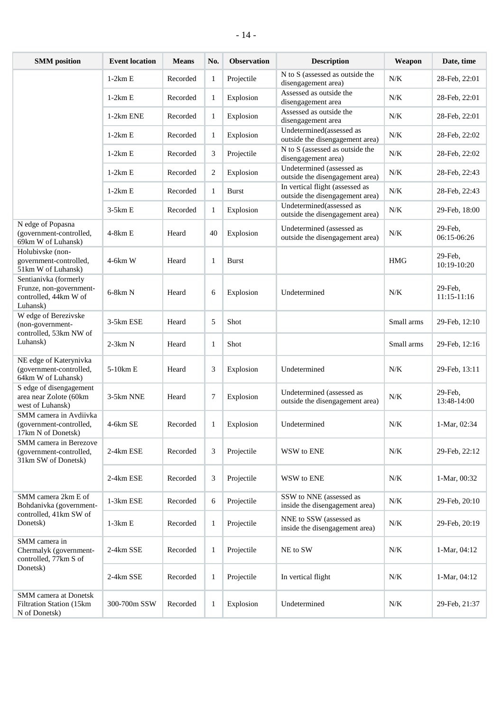|--|--|--|

| <b>SMM</b> position                                                                   | <b>Event location</b> | <b>Means</b> | No. | <b>Observation</b> | <b>Description</b>                                                 | Weapon     | Date, time                |
|---------------------------------------------------------------------------------------|-----------------------|--------------|-----|--------------------|--------------------------------------------------------------------|------------|---------------------------|
|                                                                                       | $1-2km E$             | Recorded     | 1   | Projectile         | N to S (assessed as outside the<br>disengagement area)             | N/K        | 28-Feb, 22:01             |
|                                                                                       | $1-2km E$             | Recorded     | 1   | Explosion          | Assessed as outside the<br>disengagement area                      | N/K        | 28-Feb, 22:01             |
|                                                                                       | 1-2km ENE             | Recorded     | 1   | Explosion          | Assessed as outside the<br>disengagement area                      | N/K        | 28-Feb, 22:01             |
|                                                                                       | $1-2km E$             | Recorded     | 1   | Explosion          | Undetermined(assessed as<br>outside the disengagement area)        | N/K        | 28-Feb, 22:02             |
|                                                                                       | $1-2km E$             | Recorded     | 3   | Projectile         | N to S (assessed as outside the<br>disengagement area)             | N/K        | 28-Feb, 22:02             |
|                                                                                       | $1-2km E$             | Recorded     | 2   | Explosion          | Undetermined (assessed as<br>outside the disengagement area)       | $N/K$      | 28-Feb, 22:43             |
|                                                                                       | $1-2km E$             | Recorded     | 1   | <b>Burst</b>       | In vertical flight (assessed as<br>outside the disengagement area) | N/K        | 28-Feb, 22:43             |
|                                                                                       | $3-5km E$             | Recorded     | 1   | Explosion          | Undetermined(assessed as<br>outside the disengagement area)        | $N\!/\!K$  | 29-Feb, 18:00             |
| N edge of Popasna<br>(government-controlled,<br>69km W of Luhansk)                    | $4-8km E$             | Heard        | 40  | Explosion          | Undetermined (assessed as<br>outside the disengagement area)       | N/K        | 29-Feb,<br>06:15-06:26    |
| Holubivske (non-<br>government-controlled,<br>51km W of Luhansk)                      | $4-6km$ W             | Heard        | 1   | <b>Burst</b>       |                                                                    | <b>HMG</b> | $29$ -Feb.<br>10:19-10:20 |
| Sentianivka (formerly<br>Frunze, non-government-<br>controlled, 44km W of<br>Luhansk) | $6-8km N$             | Heard        | 6   | Explosion          | Undetermined                                                       | N/K        | 29-Feb.<br>11:15-11:16    |
| W edge of Berezivske<br>(non-government-<br>controlled, 53km NW of                    | 3-5km ESE             | Heard        | 5   | Shot               |                                                                    | Small arms | 29-Feb, 12:10             |
| Luhansk)                                                                              | $2-3km N$             | Heard        | 1   | Shot               |                                                                    | Small arms | 29-Feb, 12:16             |
| NE edge of Katerynivka<br>(government-controlled,<br>64km W of Luhansk)               | 5-10km E              | Heard        | 3   | Explosion          | Undetermined                                                       | N/K        | 29-Feb, 13:11             |
| S edge of disengagement<br>area near Zolote (60km<br>west of Luhansk)                 | 3-5km NNE             | Heard        | 7   | Explosion          | Undetermined (assessed as<br>outside the disengagement area)       | N/K        | 29-Feb,<br>13:48-14:00    |
| SMM camera in Avdiivka<br>(government-controlled,<br>17km N of Donetsk)               | 4-6km SE              | Recorded     | 1   | Explosion          | Undetermined                                                       | N/K        | 1-Mar, 02:34              |
| SMM camera in Berezove<br>(government-controlled,<br>31km SW of Donetsk)              | 2-4km ESE             | Recorded     | 3   | Projectile         | WSW to ENE                                                         | N/K        | 29-Feb, 22:12             |
|                                                                                       | 2-4km ESE             | Recorded     | 3   | Projectile         | WSW to ENE                                                         | N/K        | 1-Mar, 00:32              |
| SMM camera 2km E of<br>Bohdanivka (government-                                        | 1-3km ESE             | Recorded     | 6   | Projectile         | SSW to NNE (assessed as<br>inside the disengagement area)          | N/K        | 29-Feb, 20:10             |
| controlled, 41km SW of<br>Donetsk)                                                    | $1-3km E$             | Recorded     | 1   | Projectile         | NNE to SSW (assessed as<br>inside the disengagement area)          | N/K        | 29-Feb, 20:19             |
| SMM camera in<br>Chermalyk (government-<br>controlled, 77km S of                      | 2-4km SSE             | Recorded     | 1   | Projectile         | NE to SW                                                           | $N\!/\!K$  | 1-Mar, 04:12              |
| Donetsk)                                                                              | 2-4km SSE             | Recorded     | 1   | Projectile         | In vertical flight                                                 | N/K        | 1-Mar, 04:12              |
| SMM camera at Donetsk<br>Filtration Station (15km<br>N of Donetsk)                    | 300-700m SSW          | Recorded     | 1   | Explosion          | Undetermined                                                       | $N\!/\!K$  | 29-Feb, 21:37             |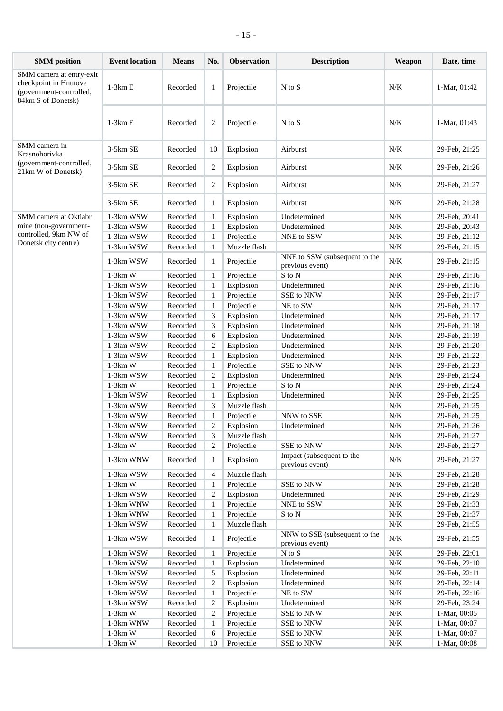| <b>SMM</b> position                                                                                | <b>Event location</b> | <b>Means</b> | No.          | Observation  | <b>Description</b>                               | Weapon    | Date, time    |
|----------------------------------------------------------------------------------------------------|-----------------------|--------------|--------------|--------------|--------------------------------------------------|-----------|---------------|
| SMM camera at entry-exit<br>checkpoint in Hnutove<br>(government-controlled,<br>84km S of Donetsk) | $1-3km E$             | Recorded     | $\mathbf{1}$ | Projectile   | $N$ to $S$                                       | N/K       | 1-Mar, 01:42  |
|                                                                                                    | $1-3km E$             | Recorded     | 2            | Projectile   | $N$ to $S$                                       | N/K       | 1-Mar, 01:43  |
| SMM camera in<br>Krasnohorivka                                                                     | $3-5km$ SE            | Recorded     | 10           | Explosion    | Airburst                                         | $N/K$     | 29-Feb, 21:25 |
| (government-controlled,<br>21km W of Donetsk)                                                      | $3-5km$ SE            | Recorded     | 2            | Explosion    | Airburst                                         | N/K       | 29-Feb, 21:26 |
|                                                                                                    | 3-5km SE              | Recorded     | 2            | Explosion    | Airburst                                         | N/K       | 29-Feb, 21:27 |
|                                                                                                    | 3-5km SE              | Recorded     | 1            | Explosion    | Airburst                                         | N/K       | 29-Feb, 21:28 |
| SMM camera at Oktiabr                                                                              | 1-3km WSW             | Recorded     | 1            | Explosion    | Undetermined                                     | N/K       | 29-Feb, 20:41 |
| mine (non-government-                                                                              | 1-3km WSW             | Recorded     | $\mathbf{1}$ | Explosion    | Undetermined                                     | N/K       | 29-Feb, 20:43 |
| controlled, 9km NW of                                                                              | 1-3km WSW             | Recorded     | $\mathbf{1}$ | Projectile   | NNE to SSW                                       | N/K       | 29-Feb, 21:12 |
| Donetsk city centre)                                                                               | 1-3km WSW             | Recorded     | $\mathbf{1}$ | Muzzle flash |                                                  | $N/K$     | 29-Feb, 21:15 |
|                                                                                                    | 1-3km WSW             | Recorded     | 1            | Projectile   | NNE to SSW (subsequent to the<br>previous event) | $N/K$     | 29-Feb, 21:15 |
|                                                                                                    | $1-3km$ W             | Recorded     | 1            | Projectile   | S to N                                           | N/K       | 29-Feb, 21:16 |
|                                                                                                    | 1-3km WSW             | Recorded     | 1            | Explosion    | Undetermined                                     | N/K       | 29-Feb, 21:16 |
|                                                                                                    | 1-3km WSW             | Recorded     | 1            | Projectile   | SSE to NNW                                       | N/K       | 29-Feb, 21:17 |
|                                                                                                    | 1-3km WSW             | Recorded     | $\mathbf{1}$ | Projectile   | NE to SW                                         | $N\!/\!K$ | 29-Feb, 21:17 |
|                                                                                                    | 1-3km WSW             | Recorded     | 3            | Explosion    | Undetermined                                     | $N/K$     | 29-Feb, 21:17 |
|                                                                                                    | 1-3km WSW             | Recorded     | 3            | Explosion    | Undetermined                                     | N/K       | 29-Feb, 21:18 |
|                                                                                                    |                       |              |              |              |                                                  | $N/K$     |               |
|                                                                                                    | 1-3km WSW             | Recorded     | 6            | Explosion    | Undetermined                                     |           | 29-Feb, 21:19 |
|                                                                                                    | 1-3km WSW             | Recorded     | 2            | Explosion    | Undetermined                                     | $N/K$     | 29-Feb, 21:20 |
|                                                                                                    | 1-3km WSW             | Recorded     | 1            | Explosion    | Undetermined                                     | N/K       | 29-Feb, 21:22 |
|                                                                                                    | $1-3km$ W             | Recorded     | 1            | Projectile   | SSE to NNW                                       | $N/K$     | 29-Feb, 21:23 |
|                                                                                                    | 1-3km WSW             | Recorded     | 2            | Explosion    | Undetermined                                     | $N/K$     | 29-Feb, 21:24 |
|                                                                                                    | $1-3km$ W             | Recorded     | 1            | Projectile   | S to N                                           | $N\!/\!K$ | 29-Feb, 21:24 |
|                                                                                                    | 1-3km WSW             | Recorded     | 1            | Explosion    | Undetermined                                     | $N\!/\!K$ | 29-Feb, 21:25 |
|                                                                                                    | 1-3km WSW             | Recorded     | 3            | Muzzle flash |                                                  | $N/K$     | 29-Feb, 21:25 |
|                                                                                                    | 1-3km WSW             | Recorded     | 1            | Projectile   | NNW to SSE                                       | $N/K$     | 29-Feb, 21:25 |
|                                                                                                    | 1-3km WSW             | Recorded     | 2            | Explosion    | Undetermined                                     | N/K       | 29-Feb, 21:26 |
|                                                                                                    | 1-3km WSW             | Recorded     | 3            | Muzzle flash |                                                  | $N\!/\!K$ | 29-Feb, 21:27 |
|                                                                                                    | $1-3km$ W             | Recorded     | 2            | Projectile   | SSE to NNW                                       | $N\!/\!K$ | 29-Feb, 21:27 |
|                                                                                                    | 1-3km WNW             | Recorded     | 1            | Explosion    | Impact (subsequent to the<br>previous event)     | $N\!/\!K$ | 29-Feb, 21:27 |
|                                                                                                    | 1-3km WSW             | Recorded     | 4            | Muzzle flash |                                                  | N/K       | 29-Feb, 21:28 |
|                                                                                                    | $1-3km$ W             | Recorded     | 1            | Projectile   | SSE to NNW                                       | $N\!/\!K$ | 29-Feb, 21:28 |
|                                                                                                    | 1-3km WSW             | Recorded     | 2            | Explosion    | Undetermined                                     | $N\!/\!K$ | 29-Feb, 21:29 |
|                                                                                                    | 1-3km WNW             | Recorded     | 1            | Projectile   | NNE to SSW                                       | $N\!/\!K$ | 29-Feb, 21:33 |
|                                                                                                    | 1-3km WNW             | Recorded     | 1            | Projectile   | S to N                                           | $N\!/\!K$ | 29-Feb, 21:37 |
|                                                                                                    | 1-3km WSW             | Recorded     | 1            | Muzzle flash |                                                  | $N\!/\!K$ | 29-Feb, 21:55 |
|                                                                                                    | 1-3km WSW             | Recorded     | $\mathbf{1}$ | Projectile   | NNW to SSE (subsequent to the<br>previous event) | $N\!/\!K$ | 29-Feb, 21:55 |
|                                                                                                    | 1-3km WSW             | Recorded     | 1            | Projectile   | $\mathbf N$ to $\mathbf S$                       | $N\!/\!K$ | 29-Feb, 22:01 |
|                                                                                                    | 1-3km WSW             | Recorded     | 1            | Explosion    | Undetermined                                     | $N\!/\!K$ | 29-Feb, 22:10 |
|                                                                                                    | 1-3km WSW             | Recorded     | 5            | Explosion    | Undetermined                                     | $N\!/\!K$ | 29-Feb, 22:11 |
|                                                                                                    | 1-3km WSW             | Recorded     | 2            | Explosion    | Undetermined                                     | $N\!/\!K$ | 29-Feb, 22:14 |
|                                                                                                    | 1-3km WSW             | Recorded     |              | Projectile   | NE to SW                                         | $N\!/\!K$ | 29-Feb, 22:16 |
|                                                                                                    |                       |              | 1            |              |                                                  |           |               |
|                                                                                                    | 1-3km WSW             | Recorded     | 2            | Explosion    | Undetermined                                     | $N\!/\!K$ | 29-Feb, 23:24 |
|                                                                                                    | $1-3km$ W             | Recorded     | 2            | Projectile   | SSE to NNW                                       | $N\!/\!K$ | 1-Mar, 00:05  |
|                                                                                                    | 1-3km WNW             | Recorded     | 1            | Projectile   | SSE to NNW                                       | $N\!/\!K$ | 1-Mar, 00:07  |
|                                                                                                    | $1-3km$ W             | Recorded     | 6            | Projectile   | SSE to NNW                                       | $N\!/\!K$ | 1-Mar, 00:07  |
|                                                                                                    | $1-3km$ W             | Recorded     | 10           | Projectile   | SSE to NNW                                       | $N\!/\!K$ | 1-Mar, 00:08  |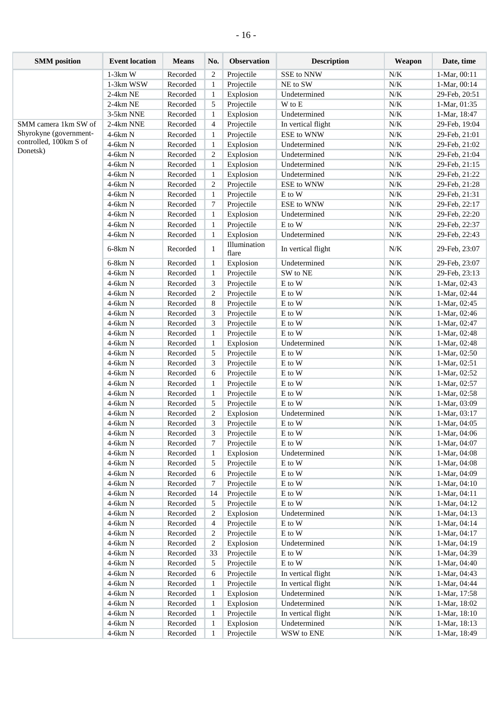## - 16 -

| <b>SMM</b> position    | <b>Event location</b> | <b>Means</b> | No.            | <b>Observation</b>    | <b>Description</b>         | Weapon    | Date, time    |
|------------------------|-----------------------|--------------|----------------|-----------------------|----------------------------|-----------|---------------|
|                        | $1-3km$ W             | Recorded     | 2              | Projectile            | SSE to NNW                 | N/K       | 1-Mar, 00:11  |
|                        | 1-3km WSW             | Recorded     | $\mathbf{1}$   | Projectile            | NE to SW                   | $N\!/\!K$ | 1-Mar, 00:14  |
|                        | 2-4km NE              | Recorded     | $\mathbf{1}$   | Explosion             | Undetermined               | $N\!/\!K$ | 29-Feb, 20:51 |
|                        | 2-4km NE              | Recorded     | 5              | Projectile            | W to E                     | $N\!/\!K$ | 1-Mar, 01:35  |
|                        | 3-5km NNE             | Recorded     | 1              | Explosion             | Undetermined               | N/K       | 1-Mar, 18:47  |
| SMM camera 1km SW of   | 2-4km NNE             | Recorded     | $\overline{4}$ | Projectile            | In vertical flight         | $N\!/\!K$ | 29-Feb, 19:04 |
| Shyrokyne (government- | 4-6km N               | Recorded     | 1              | Projectile            | ESE to WNW                 | N/K       | 29-Feb, 21:01 |
| controlled, 100km S of | 4-6km N               | Recorded     | 1              | Explosion             | Undetermined               | N/K       | 29-Feb, 21:02 |
| Donetsk)               | $4-6km N$             | Recorded     | 2              | Explosion             | Undetermined               | $N\!/\!K$ | 29-Feb, 21:04 |
|                        | 4-6km N               | Recorded     | 1              | Explosion             | Undetermined               | $N\!/\!K$ | 29-Feb, 21:15 |
|                        | 4-6km N               | Recorded     | 1              | Explosion             | Undetermined               | $N/K$     | 29-Feb, 21:22 |
|                        | 4-6km N               | Recorded     | $\overline{2}$ | Projectile            | ESE to WNW                 | $N\!/\!K$ | 29-Feb, 21:28 |
|                        | 4-6km N               | Recorded     | 1              | Projectile            | E to W                     | $N\!/\!K$ | 29-Feb, 21:31 |
|                        | 4-6km N               | Recorded     | 7              | Projectile            | ESE to WNW                 | $N\!/\!K$ | 29-Feb, 22:17 |
|                        | 4-6km N               | Recorded     | 1              | Explosion             | Undetermined               | $N\!/\!K$ | 29-Feb, 22:20 |
|                        | $4-6km N$             | Recorded     | 1              | Projectile            | E to W                     | $N\!/\!K$ | 29-Feb, 22:37 |
|                        | $4-6km N$             | Recorded     | 1              | Explosion             | Undetermined               | $N\!/\!K$ | 29-Feb, 22:43 |
|                        | $6-8km N$             | Recorded     | 1              | Illumination<br>flare | In vertical flight         | N/K       | 29-Feb, 23:07 |
|                        | 6-8km N               | Recorded     | 1              | Explosion             | Undetermined               | $N\!/\!K$ | 29-Feb, 23:07 |
|                        | $4-6km N$             | Recorded     | 1              | Projectile            | SW to NE                   | $N\!/\!K$ | 29-Feb, 23:13 |
|                        | 4-6km N               | Recorded     | 3              | Projectile            | E to W                     | $N/K$     | 1-Mar, 02:43  |
|                        | 4-6km N               | Recorded     | $\overline{2}$ | Projectile            | E to W                     | $N\!/\!K$ | 1-Mar, 02:44  |
|                        | 4-6km N               | Recorded     | 8              | Projectile            | E to W                     | $N\!/\!K$ | 1-Mar, 02:45  |
|                        | $4-6km N$             | Recorded     | 3              | Projectile            | E to W                     | $N/K$     | 1-Mar, 02:46  |
|                        | $4-6km N$             | Recorded     | 3              | Projectile            | E to W                     | $N/K$     | 1-Mar, 02:47  |
|                        | $4-6km N$             | Recorded     | 1              | Projectile            | E to W                     | $N/K$     | 1-Mar, 02:48  |
|                        | 4-6km N               | Recorded     | 1              | Explosion             | Undetermined               | $N/K$     | 1-Mar, 02:48  |
|                        | $4-6km N$             | Recorded     | 5              | Projectile            | E to W                     | $N/K$     | 1-Mar, 02:50  |
|                        | 4-6km N               | Recorded     | 3              | Projectile            | E to W                     | N/K       | 1-Mar, 02:51  |
|                        | $4-6km N$             | Recorded     | 6              | Projectile            | E to W                     | $N/K$     | 1-Mar, 02:52  |
|                        | 4-6km N               | Recorded     | $\mathbf{1}$   | Projectile            | E to W                     | $N/K$     | 1-Mar, 02:57  |
|                        | 4-6km N               | Recorded     | $\mathbf{1}$   | Projectile            | E to W                     | $N/K$     | 1-Mar, 02:58  |
|                        | 4-6km N               | Recorded     | 5              | Projectile            | E to W                     | $N\!/\!K$ | 1-Mar, 03:09  |
|                        | 4-6km N               | Recorded     | $\overline{2}$ | Explosion             | Undetermined               | $N/K$     | 1-Mar, 03:17  |
|                        | $4-6km N$             | Recorded     | 3              | Projectile            | E to W                     | N/K       | 1-Mar, 04:05  |
|                        | 4-6km N               | Recorded     | 3              | Projectile            | $\mathbf E$ to $\mathbf W$ | $N\!/\!K$ | 1-Mar, 04:06  |
|                        | 4-6km N               | Recorded     | 7              | Projectile            | $\mathbf E$ to $\mathbf W$ | $N\!/\!K$ | 1-Mar, 04:07  |
|                        | 4-6km N               | Recorded     | 1              | Explosion             | Undetermined               | $N\!/\!K$ | 1-Mar, 04:08  |
|                        | 4-6km N               | Recorded     | 5              | Projectile            | E to W                     | $N\!/\!K$ | 1-Mar, 04:08  |
|                        | 4-6km N               | Recorded     | 6              | Projectile            | $\mathbf E$ to $\mathbf W$ | $N\!/\!K$ | 1-Mar, 04:09  |
|                        | 4-6km N               | Recorded     | 7              | Projectile            | E to W                     | $N\!/\!K$ | 1-Mar, 04:10  |
|                        | 4-6km N               | Recorded     | 14             | Projectile            | E to W                     | $N\!/\!K$ | 1-Mar, 04:11  |
|                        | 4-6km N               | Recorded     | 5              | Projectile            | E to W                     | $N\!/\!K$ | 1-Mar, 04:12  |
|                        | 4-6km N               | Recorded     | 2              | Explosion             | Undetermined               | $N\!/\!K$ | 1-Mar, 04:13  |
|                        | 4-6km N               | Recorded     | 4              | Projectile            | E to W                     | $N\!/\!K$ | 1-Mar, 04:14  |
|                        | 4-6km N               | Recorded     | 2              | Projectile            | E to W                     | $N\!/\!K$ | 1-Mar, 04:17  |
|                        | 4-6km N               | Recorded     | 2              | Explosion             | Undetermined               | $N\!/\!K$ | 1-Mar, 04:19  |
|                        | 4-6km N               | Recorded     | 33             | Projectile            | E to W                     | $N\!/\!K$ | 1-Mar, 04:39  |
|                        | 4-6km N               | Recorded     | 5              | Projectile            | E to W                     | $N\!/\!K$ | 1-Mar, 04:40  |
|                        | 4-6km N               | Recorded     | 6              | Projectile            | In vertical flight         | $N\!/\!K$ | 1-Mar, 04:43  |
|                        | 4-6km N               | Recorded     | 1              | Projectile            | In vertical flight         | $N\!/\!K$ | 1-Mar, 04:44  |
|                        | 4-6km N               | Recorded     | 1              | Explosion             | Undetermined               | $N\!/\!K$ | 1-Mar, 17:58  |
|                        | 4-6km N               | Recorded     | 1              | Explosion             | Undetermined               | $N\!/\!K$ | 1-Mar, 18:02  |
|                        | 4-6km N               | Recorded     | 1              | Projectile            | In vertical flight         | $N\!/\!K$ | 1-Mar, 18:10  |
|                        | 4-6km N               | Recorded     | 1              | Explosion             | Undetermined               | $N\!/\!K$ | 1-Mar, 18:13  |
|                        | 4-6km N               | Recorded     | 1              | Projectile            | WSW to ENE                 | $N\!/\!K$ | 1-Mar, 18:49  |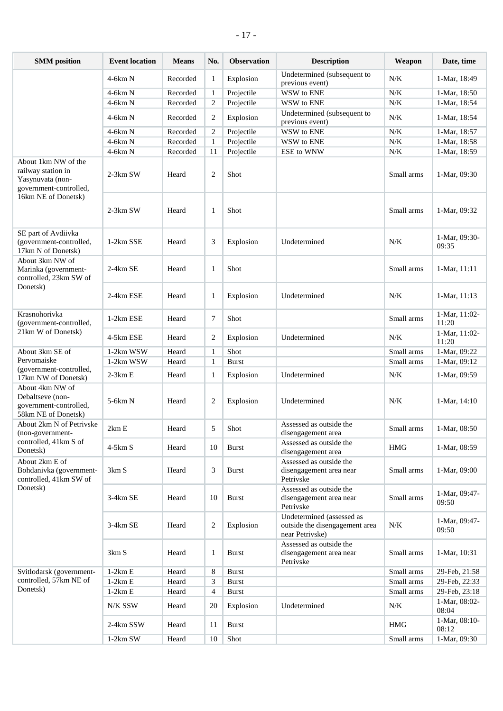| <b>SMM</b> position                                                                     | <b>Event location</b>        | <b>Means</b> | No.            | <b>Observation</b> | <b>Description</b>                                                             | Weapon     | Date, time             |
|-----------------------------------------------------------------------------------------|------------------------------|--------------|----------------|--------------------|--------------------------------------------------------------------------------|------------|------------------------|
|                                                                                         | $4-6km N$                    | Recorded     | 1              | Explosion          | Undetermined (subsequent to<br>previous event)                                 | N/K        | 1-Mar, 18:49           |
|                                                                                         | $4-6km N$                    | Recorded     | $\mathbf{1}$   | Projectile         | WSW to ENE                                                                     | N/K        | 1-Mar, 18:50           |
|                                                                                         | $4-6km N$                    | Recorded     | $\mathbf{2}$   | Projectile         | WSW to ENE                                                                     | N/K        | 1-Mar, 18:54           |
|                                                                                         | $4-6km N$                    | Recorded     | 2              | Explosion          | Undetermined (subsequent to<br>previous event)                                 | N/K        | 1-Mar, 18:54           |
|                                                                                         | $4-6km N$                    | Recorded     | 2              | Projectile         | WSW to ENE                                                                     | N/K        | 1-Mar, 18:57           |
|                                                                                         | $4-6km N$                    | Recorded     | 1              | Projectile         | WSW to ENE                                                                     | N/K        | 1-Mar, 18:58           |
|                                                                                         | $4-6km N$                    | Recorded     | 11             | Projectile         | <b>ESE</b> to WNW                                                              | N/K        | 1-Mar, 18:59           |
| About 1km NW of the<br>railway station in<br>Yasynuvata (non-<br>government-controlled, | $2-3km$ SW                   | Heard        | $\overline{2}$ | Shot               |                                                                                | Small arms | 1-Mar, 09:30           |
| 16km NE of Donetsk)                                                                     | $2-3km$ SW                   | Heard        | 1              | Shot               |                                                                                | Small arms | 1-Mar, 09:32           |
| SE part of Avdiivka<br>(government-controlled,<br>17km N of Donetsk)                    | 1-2km SSE                    | Heard        | 3              | Explosion          | Undetermined                                                                   | N/K        | 1-Mar, 09:30-<br>09:35 |
| About 3km NW of<br>Marinka (government-<br>controlled, 23km SW of                       | 2-4km SE                     | Heard        | $\mathbf{1}$   | Shot               |                                                                                | Small arms | 1-Mar, 11:11           |
| Donetsk)                                                                                | 2-4km ESE                    | Heard        | 1              | Explosion          | Undetermined                                                                   | $N/K$      | 1-Mar, 11:13           |
| Krasnohorivka<br>(government-controlled,                                                | 1-2km ESE                    | Heard        | 7              | Shot               |                                                                                | Small arms | 1-Mar, 11:02-<br>11:20 |
| 21km W of Donetsk)                                                                      | 4-5km ESE                    | Heard        | 2              | Explosion          | Undetermined                                                                   | N/K        | 1-Mar, 11:02-<br>11:20 |
| About 3km SE of                                                                         | 1-2km WSW                    | Heard        | $\mathbf{1}$   | Shot               |                                                                                | Small arms | 1-Mar, 09:22           |
| Pervomaiske<br>(government-controlled,                                                  | 1-2km WSW                    | Heard        | $\mathbf{1}$   | <b>Burst</b>       |                                                                                | Small arms | 1-Mar, 09:12           |
| 17km NW of Donetsk)                                                                     | $2-3km E$                    | Heard        | 1              | Explosion          | Undetermined                                                                   | N/K        | 1-Mar, 09:59           |
| About 4km NW of<br>Debaltseve (non-<br>government-controlled,<br>58km NE of Donetsk)    | 5-6km N                      | Heard        | $\overline{c}$ | Explosion          | Undetermined                                                                   | N/K        | $1-Mar, 14:10$         |
| About 2km N of Petrivske<br>(non-government-                                            | $2 \mathrm{km} \to$          | Heard        | 5 <sup>5</sup> | Shot               | Assessed as outside the<br>disengagement area                                  | Small arms | 1-Mar, 08:50           |
| controlled, 41km S of<br>Donetsk)                                                       | $4-5km S$                    | Heard        | 10             | <b>Burst</b>       | Assessed as outside the<br>disengagement area                                  | <b>HMG</b> | 1-Mar, 08:59           |
| About 2km E of<br>Bohdanivka (government-<br>controlled, 41km SW of                     | 3km S                        | Heard        | 3              | <b>Burst</b>       | Assessed as outside the<br>disengagement area near<br>Petrivske                | Small arms | 1-Mar, 09:00           |
| Donetsk)                                                                                | $3-4km$ SE                   | Heard        | 10             | <b>Burst</b>       | Assessed as outside the<br>disengagement area near<br>Petrivske                | Small arms | 1-Mar, 09:47-<br>09:50 |
|                                                                                         | 3-4km SE                     | Heard        | 2              | Explosion          | Undetermined (assessed as<br>outside the disengagement area<br>near Petrivske) | N/K        | 1-Mar, 09:47-<br>09:50 |
|                                                                                         | $3 \mathrm{km} \ \mathrm{S}$ | Heard        | $\mathbf{1}$   | <b>Burst</b>       | Assessed as outside the<br>disengagement area near<br>Petrivske                | Small arms | 1-Mar, 10:31           |
| Svitlodarsk (government-                                                                | $1-2km E$                    | Heard        | 8              | <b>Burst</b>       |                                                                                | Small arms | 29-Feb, 21:58          |
| controlled, 57km NE of                                                                  | $1-2km E$                    | Heard        | 3              | <b>Burst</b>       |                                                                                | Small arms | 29-Feb, 22:33          |
| Donetsk)                                                                                | $1-2km E$                    | Heard        | $\overline{4}$ | <b>Burst</b>       |                                                                                | Small arms | 29-Feb, 23:18          |
|                                                                                         | N/K SSW                      | Heard        | 20             | Explosion          | Undetermined                                                                   | $N\!/\!K$  | 1-Mar, 08:02-<br>08:04 |
|                                                                                         | 2-4km SSW                    | Heard        | 11             | <b>Burst</b>       |                                                                                | <b>HMG</b> | 1-Mar, 08:10-<br>08:12 |
|                                                                                         | $1-2km$ SW                   | Heard        | 10             | Shot               |                                                                                | Small arms | 1-Mar, 09:30           |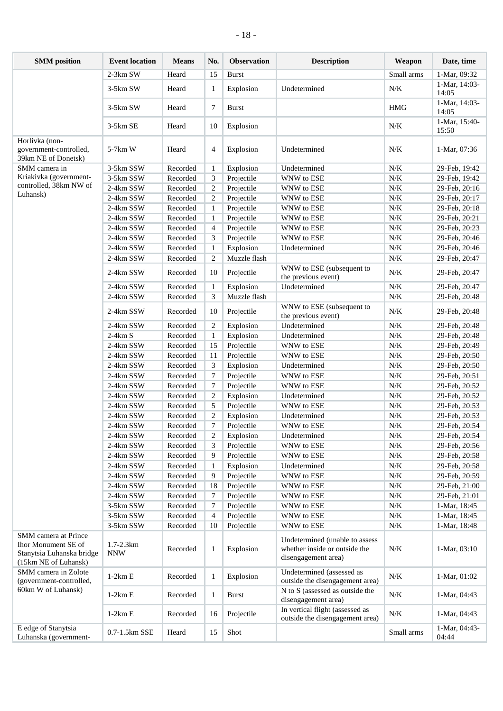| <b>SMM</b> position                                                                              | <b>Event location</b>   | <b>Means</b> | No.            | <b>Observation</b> | <b>Description</b>                                                                     | Weapon     | Date, time             |
|--------------------------------------------------------------------------------------------------|-------------------------|--------------|----------------|--------------------|----------------------------------------------------------------------------------------|------------|------------------------|
|                                                                                                  | 2-3km SW                | Heard        | 15             | <b>Burst</b>       |                                                                                        | Small arms | 1-Mar, 09:32           |
|                                                                                                  | 3-5km SW                | Heard        | -1             | Explosion          | Undetermined                                                                           | N/K        | 1-Mar, 14:03-<br>14:05 |
|                                                                                                  | 3-5km SW                | Heard        | $\tau$         | <b>Burst</b>       |                                                                                        | <b>HMG</b> | 1-Mar, 14:03-<br>14:05 |
|                                                                                                  | 3-5km SE                | Heard        | 10             | Explosion          |                                                                                        | N/K        | 1-Mar, 15:40-<br>15:50 |
| Horlivka (non-<br>government-controlled,<br>39km NE of Donetsk)                                  | 5-7km W                 | Heard        | $\overline{4}$ | Explosion          | Undetermined                                                                           | $N/K$      | 1-Mar, 07:36           |
| SMM camera in                                                                                    | 3-5km SSW               | Recorded     | $\mathbf{1}$   | Explosion          | Undetermined                                                                           | $N/K$      | 29-Feb, 19:42          |
| Kriakivka (government-                                                                           | 3-5km SSW               | Recorded     | 3              | Projectile         | WNW to ESE                                                                             | $N/K$      | 29-Feb, 19:42          |
| controlled, 38km NW of                                                                           | 2-4km SSW               | Recorded     | $\mathfrak{2}$ | Projectile         | WNW to ESE                                                                             | $N/K$      | 29-Feb, 20:16          |
| Luhansk)                                                                                         | 2-4km SSW               | Recorded     | $\mathfrak{2}$ | Projectile         | WNW to ESE                                                                             | $N/K$      | 29-Feb, 20:17          |
|                                                                                                  | 2-4km SSW               | Recorded     | $\mathbf{1}$   | Projectile         | WNW to ESE                                                                             | $N/K$      | 29-Feb, 20:18          |
|                                                                                                  | 2-4km SSW               | Recorded     | $\mathbf{1}$   | Projectile         | WNW to ESE                                                                             | $N/K$      | 29-Feb, 20:21          |
|                                                                                                  | 2-4km SSW               | Recorded     | $\overline{4}$ | Projectile         | WNW to ESE                                                                             | $N\!/\!K$  | 29-Feb, 20:23          |
|                                                                                                  | 2-4km SSW               | Recorded     | 3              | Projectile         | WNW to ESE                                                                             | $N\!/\!K$  | 29-Feb, 20:46          |
|                                                                                                  | 2-4km SSW               | Recorded     | $\mathbf{1}$   | Explosion          | Undetermined                                                                           | $N/K$      | 29-Feb, 20:46          |
|                                                                                                  | 2-4km SSW               | Recorded     | $\overline{2}$ | Muzzle flash       |                                                                                        | $N\!/\!K$  | 29-Feb, 20:47          |
|                                                                                                  | 2-4km SSW               | Recorded     | 10             | Projectile         | WNW to ESE (subsequent to<br>the previous event)                                       | N/K        | 29-Feb, 20:47          |
|                                                                                                  | 2-4km SSW               | Recorded     | 1              | Explosion          | Undetermined                                                                           | $N/K$      | 29-Feb, 20:47          |
|                                                                                                  | 2-4km SSW               | Recorded     | 3              | Muzzle flash       |                                                                                        | $N\!/\!K$  | 29-Feb, 20:48          |
|                                                                                                  | 2-4km SSW               | Recorded     | 10             | Projectile         | WNW to ESE (subsequent to<br>the previous event)                                       | $N/K$      | 29-Feb, 20:48          |
|                                                                                                  | 2-4km SSW               | Recorded     | $\overline{c}$ | Explosion          | Undetermined                                                                           | $N\!/\!K$  | 29-Feb, 20:48          |
|                                                                                                  | $2-4km S$               | Recorded     | $\mathbf{1}$   | Explosion          | Undetermined                                                                           | $N\!/\!K$  | 29-Feb, 20:48          |
|                                                                                                  | 2-4km SSW               | Recorded     | 15             | Projectile         | WNW to ESE                                                                             | $N/K$      | 29-Feb, 20:49          |
|                                                                                                  | 2-4km SSW               | Recorded     | 11             | Projectile         | WNW to ESE                                                                             | $N/K$      | 29-Feb, 20:50          |
|                                                                                                  | 2-4km SSW               | Recorded     | 3              | Explosion          | Undetermined                                                                           | $N/K$      | 29-Feb, 20:50          |
|                                                                                                  | 2-4km SSW               | Recorded     | 7              | Projectile         | WNW to ESE                                                                             | $N/K$      | 29-Feb, 20:51          |
|                                                                                                  | 2-4km SSW               | Recorded     | 7              | Projectile         | WNW to ESE                                                                             | N/K        | 29-Feb, 20:52          |
|                                                                                                  | 2-4km SSW               | Recorded     | $\mathfrak{2}$ | Explosion          | Undetermined                                                                           | $N\!/\!K$  | 29-Feb, 20:52          |
|                                                                                                  | 2-4km SSW               | Recorded     | 5              |                    | WNW to ESE                                                                             | $N\!/\!K$  |                        |
|                                                                                                  |                         |              |                | Projectile         |                                                                                        |            | 29-Feb, 20:53          |
|                                                                                                  | 2-4km SSW               | Recorded     | $\mathfrak{2}$ | Explosion          | Undetermined                                                                           | $N/K$      | 29-Feb, 20:53          |
|                                                                                                  | 2-4km SSW               | Recorded     | 7              | Projectile         | WNW to ESE                                                                             | $N\!/\!K$  | 29-Feb, 20:54          |
|                                                                                                  | 2-4km SSW               | Recorded     | 2              | Explosion          | Undetermined                                                                           | $N\!/\!K$  | 29-Feb, 20:54          |
|                                                                                                  | 2-4km SSW               | Recorded     | 3              | Projectile         | WNW to ESE                                                                             | $N\!/\!K$  | 29-Feb, 20:56          |
|                                                                                                  | 2-4km SSW               | Recorded     | 9              | Projectile         | WNW to ESE                                                                             | $N\!/\!K$  | 29-Feb, 20:58          |
|                                                                                                  | 2-4km SSW               | Recorded     | 1              | Explosion          | Undetermined                                                                           | $N\!/\!K$  | 29-Feb, 20:58          |
|                                                                                                  | 2-4km SSW               | Recorded     | 9              | Projectile         | WNW to ESE                                                                             | $N\!/\!K$  | 29-Feb, 20:59          |
|                                                                                                  | 2-4km SSW               | Recorded     | 18             | Projectile         | WNW to ESE                                                                             | $N\!/\!K$  | 29-Feb, 21:00          |
|                                                                                                  | 2-4km SSW               | Recorded     | 7              | Projectile         | WNW to ESE                                                                             | $N\!/\!K$  | 29-Feb, 21:01          |
|                                                                                                  | 3-5km SSW               | Recorded     | 7              | Projectile         | WNW to ESE                                                                             | $N\!/\!K$  | 1-Mar, 18:45           |
|                                                                                                  | 3-5km SSW               | Recorded     | 4              | Projectile         | WNW to ESE                                                                             | $N\!/\!K$  | 1-Mar, 18:45           |
|                                                                                                  | 3-5km SSW               | Recorded     | 10             | Projectile         | WNW to ESE                                                                             | $N\!/\!K$  | 1-Mar, 18:48           |
| SMM camera at Prince<br>Ihor Monument SE of<br>Stanytsia Luhanska bridge<br>(15km NE of Luhansk) | 1.7-2.3km<br><b>NNW</b> | Recorded     | 1              | Explosion          | Undetermined (unable to assess<br>whether inside or outside the<br>disengagement area) | $N\!/\!K$  | 1-Mar, 03:10           |
| SMM camera in Zolote<br>(government-controlled,                                                  | $1-2km E$               | Recorded     | 1              | Explosion          | Undetermined (assessed as<br>outside the disengagement area)                           | N/K        | 1-Mar, 01:02           |
| 60km W of Luhansk)                                                                               | $1-2km E$               | Recorded     | 1              | <b>Burst</b>       | N to S (assessed as outside the<br>disengagement area)                                 | N/K        | 1-Mar, 04:43           |
|                                                                                                  | $1-2km E$               | Recorded     | 16             | Projectile         | In vertical flight (assessed as<br>outside the disengagement area)                     | N/K        | 1-Mar, 04:43           |
| E edge of Stanytsia<br>Luhanska (government-                                                     | 0.7-1.5km SSE           | Heard        | 15             | Shot               |                                                                                        | Small arms | 1-Mar, 04:43-<br>04:44 |